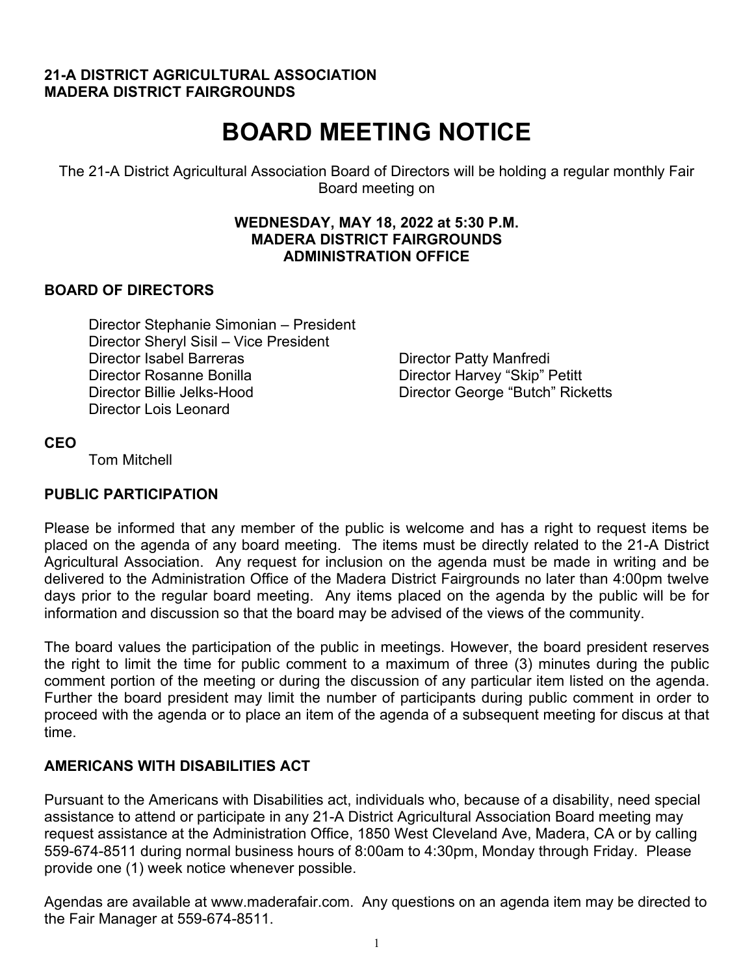# **21-A DISTRICT AGRICULTURAL ASSOCIATION MADERA DISTRICT FAIRGROUNDS**

# **BOARD MEETING NOTICE**

The 21-A District Agricultural Association Board of Directors will be holding a regular monthly Fair Board meeting on

#### **WEDNESDAY, MAY 18, 2022 at 5:30 P.M. MADERA DISTRICT FAIRGROUNDS ADMINISTRATION OFFICE**

# **BOARD OF DIRECTORS**

Director Stephanie Simonian – President Director Sheryl Sisil – Vice President Director Isabel Barreras **Director Patty Manfredi** Director Rosanne Bonilla Director Harvey "Skip" Petitt Director Billie Jelks-Hood Director George "Butch" Ricketts Director Lois Leonard

# **CEO**

Tom Mitchell

# **PUBLIC PARTICIPATION**

Please be informed that any member of the public is welcome and has a right to request items be placed on the agenda of any board meeting. The items must be directly related to the 21-A District Agricultural Association. Any request for inclusion on the agenda must be made in writing and be delivered to the Administration Office of the Madera District Fairgrounds no later than 4:00pm twelve days prior to the regular board meeting. Any items placed on the agenda by the public will be for information and discussion so that the board may be advised of the views of the community.

The board values the participation of the public in meetings. However, the board president reserves the right to limit the time for public comment to a maximum of three (3) minutes during the public comment portion of the meeting or during the discussion of any particular item listed on the agenda. Further the board president may limit the number of participants during public comment in order to proceed with the agenda or to place an item of the agenda of a subsequent meeting for discus at that time.

# **AMERICANS WITH DISABILITIES ACT**

Pursuant to the Americans with Disabilities act, individuals who, because of a disability, need special assistance to attend or participate in any 21-A District Agricultural Association Board meeting may request assistance at the Administration Office, 1850 West Cleveland Ave, Madera, CA or by calling 559-674-8511 during normal business hours of 8:00am to 4:30pm, Monday through Friday. Please provide one (1) week notice whenever possible.

Agendas are available at www.maderafair.com. Any questions on an agenda item may be directed to the Fair Manager at 559-674-8511.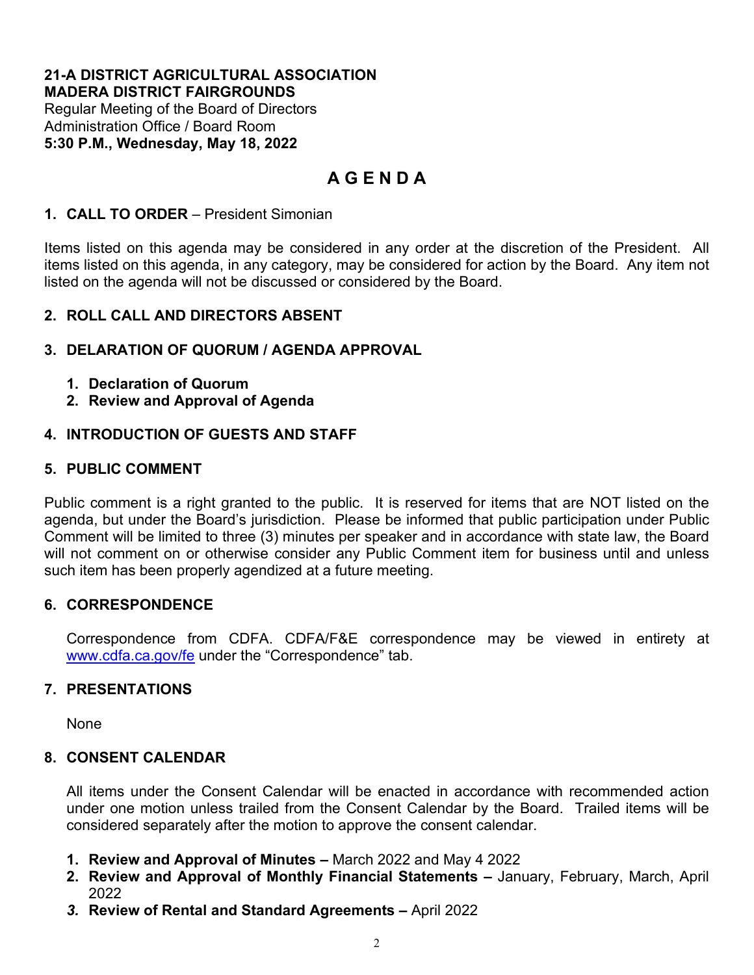#### **21-A DISTRICT AGRICULTURAL ASSOCIATION MADERA DISTRICT FAIRGROUNDS**

Regular Meeting of the Board of Directors Administration Office / Board Room **5:30 P.M., Wednesday, May 18, 2022** 

# **A G E N D A**

# **1. CALL TO ORDER** – President Simonian

Items listed on this agenda may be considered in any order at the discretion of the President. All items listed on this agenda, in any category, may be considered for action by the Board. Any item not listed on the agenda will not be discussed or considered by the Board.

# **2. ROLL CALL AND DIRECTORS ABSENT**

# **3. DELARATION OF QUORUM / AGENDA APPROVAL**

- **1. Declaration of Quorum**
- **2. Review and Approval of Agenda**

# **4. INTRODUCTION OF GUESTS AND STAFF**

# **5. PUBLIC COMMENT**

Public comment is a right granted to the public. It is reserved for items that are NOT listed on the agenda, but under the Board's jurisdiction. Please be informed that public participation under Public Comment will be limited to three (3) minutes per speaker and in accordance with state law, the Board will not comment on or otherwise consider any Public Comment item for business until and unless such item has been properly agendized at a future meeting.

# **6. CORRESPONDENCE**

Correspondence from CDFA. CDFA/F&E correspondence may be viewed in entirety at [www.cdfa.ca.gov/fe](http://www.cdfa.ca.gov/fe) under the "Correspondence" tab.

# **7. PRESENTATIONS**

None

# **8. CONSENT CALENDAR**

All items under the Consent Calendar will be enacted in accordance with recommended action under one motion unless trailed from the Consent Calendar by the Board. Trailed items will be considered separately after the motion to approve the consent calendar.

- **1. Review and Approval of Minutes –** March 2022 and May 4 2022
- **2. Review and Approval of Monthly Financial Statements** January, February, March, April 2022
- *3.* **Review of Rental and Standard Agreements** April 2022